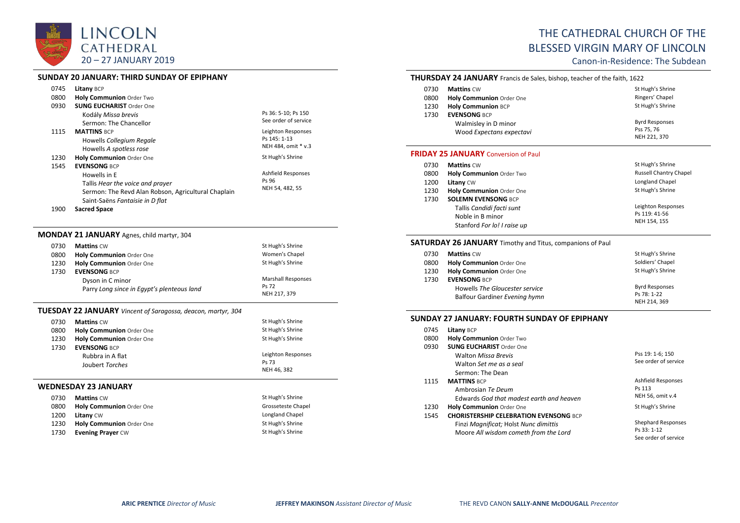

## **SUNDAY 20 JANUARY: THIRD SUNDAY OF EPIPHANY**

| 0745 | Litany BCP                                                                       |                                             |
|------|----------------------------------------------------------------------------------|---------------------------------------------|
| 0800 | <b>Holy Communion Order Two</b>                                                  |                                             |
| 0930 | <b>SUNG EUCHARIST Order One</b><br>Kodály Missa brevis<br>Sermon: The Chancellor | Ps 36: 5-10; Ps 150<br>See order of service |
| 1115 | <b>MATTINS BCP</b>                                                               | Leighton Responses                          |
|      | Howells Collegium Regale                                                         | Ps 145: 1-13                                |
|      | Howells A spotless rose                                                          | NEH 484, omit * v.3                         |
| 1230 | <b>Holy Communion Order One</b>                                                  | St Hugh's Shrine                            |
| 1545 | <b>EVENSONG BCP</b>                                                              |                                             |
|      | Howells in E                                                                     | <b>Ashfield Responses</b>                   |
|      | Tallis Hear the voice and prayer                                                 | Ps 96                                       |
|      | Sermon: The Revd Alan Robson, Agricultural Chaplain                              | NEH 54, 482, 55                             |
|      | Saint-Saëns Fantaisie in D flat                                                  |                                             |

1900 **Sacred Space**

# **MONDAY 21 JANUARY** Agnes, child martyr, 304

| 0730 | <b>Mattins CW</b>                          | St Hugh's Shrine          |
|------|--------------------------------------------|---------------------------|
| 0800 | <b>Holy Communion Order One</b>            | Women's Chapel            |
| 1230 | Holy Communion Order One                   | St Hugh's Shrine          |
| 1730 | <b>EVENSONG BCP</b>                        |                           |
|      | Dyson in C minor                           | <b>Marshall Responses</b> |
|      | Parry Long since in Egypt's plenteous land | Ps 72                     |
|      |                                            | NEH 217, 379              |

# **TUESDAY 22 JANUARY** *Vincent of Saragossa, deacon, martyr, 304*

| 0730 | <b>Mattins CW</b>               | St Hugh's Shrine   |
|------|---------------------------------|--------------------|
| 0800 | <b>Holy Communion Order One</b> | St Hugh's Shrine   |
| 1230 | Holy Communion Order One        | St Hugh's Shrine   |
| 1730 | <b>EVENSONG BCP</b>             |                    |
|      | Rubbra in A flat                | Leighton Responses |
|      | Joubert Torches                 | Ps 73              |
|      |                                 | NEH 46, 382        |
|      | WEDNESDAY 23 JANUARY            |                    |
| 0730 | <b>Mattins CW</b>               | St Hugh's Shrine   |
| 0800 | <b>Holy Communion Order One</b> | Grosseteste Chapel |
| 1200 | <b>Litany CW</b>                | Longland Chapel    |
| 1230 | <b>Holy Communion Order One</b> | St Hugh's Shrine   |
| 1730 | <b>Evening Prayer CW</b>        | St Hugh's Shrine   |

# THE CATHEDRAL CHURCH OF THE BLESSED VIRGIN MARY OF LINCOLN

Canon-in-Residence: The Subdean

# **THURSDAY 24 JANUARY** Francis de Sales, bishop, teacher of the faith, 1622

| 0730 | <b>Mattins CW</b>                                | St Hugh's Shrine                                    |
|------|--------------------------------------------------|-----------------------------------------------------|
| 0800 | Holy Communion Order One                         | Ringers' Chapel                                     |
| 1230 | <b>Holy Communion BCP</b>                        | St Hugh's Shrine                                    |
| 1730 | <b>EVENSONG BCP</b>                              |                                                     |
|      | Walmisley in D minor<br>Wood Expectans expectavi | <b>Byrd Responses</b><br>Pss 75, 76<br>NEH 221, 370 |

### **FRIDAY 25 JANUARY** Conversion of Paul

| 0730 | <b>Mattins CW</b>           | St Hugh's Shrine              |
|------|-----------------------------|-------------------------------|
| 0800 | Holy Communion Order Two    | <b>Russell Chantry Chapel</b> |
| 1200 | Litany CW                   | Longland Chapel               |
| 1230 | Holy Communion Order One    | St Hugh's Shrine              |
| 1730 | <b>SOLEMN EVENSONG BCP</b>  |                               |
|      | Tallis Candidi facti sunt   | Leighton Responses            |
|      | Noble in B minor            | Ps 119: 41-56                 |
|      | Stanford For lo! I raise up | NEH 154, 155                  |

## **SATURDAY 26 JANUARY** Timothy and Titus, companions of Paul

| 0730 | <b>Mattins CW</b>              | St Hugh's Shrine      |
|------|--------------------------------|-----------------------|
| 0800 | Holy Communion Order One       | Soldiers' Chapel      |
| 1230 | Holy Communion Order One       | St Hugh's Shrine      |
| 1730 | <b>EVENSONG BCP</b>            |                       |
|      | Howells The Gloucester service | <b>Byrd Responses</b> |
|      | Balfour Gardiner Evening hymn  | Ps 78: 1-22           |
|      |                                | NEH 214, 369          |

# **SUNDAY 27 JANUARY: FOURTH SUNDAY OF EPIPHANY**

| 0745 | <b>Litany BCP</b>                             |                           |
|------|-----------------------------------------------|---------------------------|
| 0800 | <b>Holy Communion Order Two</b>               |                           |
| 0930 | <b>SUNG EUCHARIST Order One</b>               |                           |
|      | <b>Walton Missa Brevis</b>                    | Pss 19: 1-6; 150          |
|      | Walton Set me as a seal                       | See order of service      |
|      | Sermon: The Dean                              |                           |
| 1115 | <b>MATTINS BCP</b>                            | Ashfield Responses        |
|      | Ambrosian Te Deum                             | Ps 113                    |
|      | Edwards God that madest earth and heaven      | NEH 56, omit v.4          |
| 1230 | Holy Communion Order One                      | St Hugh's Shrine          |
| 1545 | <b>CHORISTERSHIP CELEBRATION EVENSONG BCP</b> |                           |
|      | Finzi Magnificat; Holst Nunc dimittis         | <b>Shephard Responses</b> |
|      | Moore All wisdom cometh from the Lord         | Ps 33: 1-12               |
|      |                                               | See order of service      |